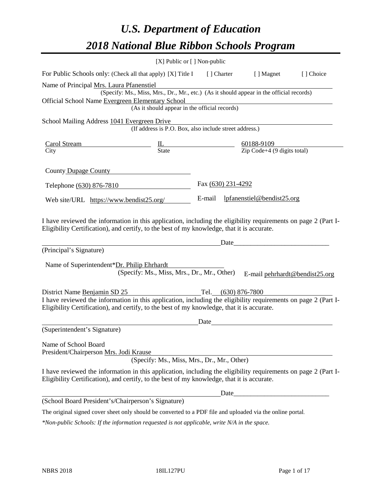# *U.S. Department of Education 2018 National Blue Ribbon Schools Program*

|                                                                                                                                                                                                                                                                                       | [X] Public or [] Non-public                                                                                                               |                    |      |                                   |                                |
|---------------------------------------------------------------------------------------------------------------------------------------------------------------------------------------------------------------------------------------------------------------------------------------|-------------------------------------------------------------------------------------------------------------------------------------------|--------------------|------|-----------------------------------|--------------------------------|
| For Public Schools only: (Check all that apply) [X] Title I [] Charter [] Magnet                                                                                                                                                                                                      |                                                                                                                                           |                    |      |                                   | [] Choice                      |
| Name of Principal Mrs. Laura Pfanenstiel<br>Official School Name Evergreen Elementary School                                                                                                                                                                                          | (Specify: Ms., Miss, Mrs., Dr., Mr., etc.) (As it should appear in the official records)<br>(As it should appear in the official records) |                    |      |                                   |                                |
| School Mailing Address 1041 Evergreen Drive                                                                                                                                                                                                                                           | (If address is P.O. Box, also include street address.)                                                                                    |                    |      |                                   |                                |
| $\frac{\text{Carol Stream}}{\text{City}}$ $\frac{\text{IL}}{\text{State}}$ $\frac{60188-9109}{\text{Zip Code}+4 (9 digits total)}$                                                                                                                                                    |                                                                                                                                           |                    |      |                                   |                                |
| County Dupage County                                                                                                                                                                                                                                                                  |                                                                                                                                           |                    |      |                                   |                                |
| Telephone (630) 876-7810                                                                                                                                                                                                                                                              |                                                                                                                                           | Fax (630) 231-4292 |      |                                   |                                |
| Web site/URL https://www.bendist25.org/                                                                                                                                                                                                                                               |                                                                                                                                           |                    |      | E-mail lpfanenstiel@bendist25.org |                                |
| I have reviewed the information in this application, including the eligibility requirements on page 2 (Part I-<br>Eligibility Certification), and certify, to the best of my knowledge, that it is accurate.<br>(Principal's Signature)<br>Name of Superintendent*Dr. Philip Ehrhardt | (Specify: Ms., Miss, Mrs., Dr., Mr., Other)                                                                                               |                    | Date |                                   | E-mail pehrhardt@bendist25.org |
| District Name <u>Benjamin SD 25</u><br>I have reviewed the information in this application, including the eligibility requirements on page 2 (Part I-<br>Eligibility Certification), and certify, to the best of my knowledge, that it is accurate.                                   |                                                                                                                                           |                    |      |                                   |                                |
| (Superintendent's Signature)                                                                                                                                                                                                                                                          |                                                                                                                                           | Date               |      |                                   |                                |
| Name of School Board<br>President/Chairperson Mrs. Jodi Krause                                                                                                                                                                                                                        | (Specify: Ms., Miss, Mrs., Dr., Mr., Other)                                                                                               |                    |      |                                   |                                |
| I have reviewed the information in this application, including the eligibility requirements on page 2 (Part I-<br>Eligibility Certification), and certify, to the best of my knowledge, that it is accurate.                                                                          |                                                                                                                                           |                    |      |                                   |                                |
|                                                                                                                                                                                                                                                                                       |                                                                                                                                           |                    |      | Date                              |                                |
| (School Board President's/Chairperson's Signature)                                                                                                                                                                                                                                    |                                                                                                                                           |                    |      |                                   |                                |
| The original signed cover sheet only should be converted to a PDF file and uploaded via the online portal.                                                                                                                                                                            |                                                                                                                                           |                    |      |                                   |                                |

*\*Non-public Schools: If the information requested is not applicable, write N/A in the space.*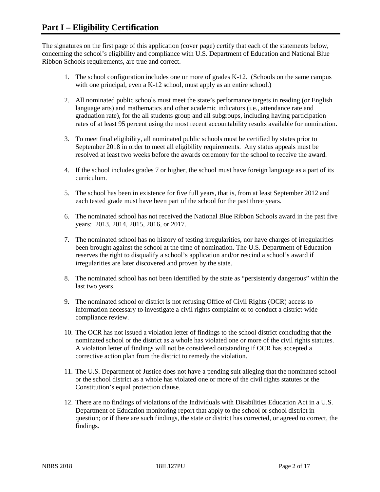The signatures on the first page of this application (cover page) certify that each of the statements below, concerning the school's eligibility and compliance with U.S. Department of Education and National Blue Ribbon Schools requirements, are true and correct.

- 1. The school configuration includes one or more of grades K-12. (Schools on the same campus with one principal, even a K-12 school, must apply as an entire school.)
- 2. All nominated public schools must meet the state's performance targets in reading (or English language arts) and mathematics and other academic indicators (i.e., attendance rate and graduation rate), for the all students group and all subgroups, including having participation rates of at least 95 percent using the most recent accountability results available for nomination.
- 3. To meet final eligibility, all nominated public schools must be certified by states prior to September 2018 in order to meet all eligibility requirements. Any status appeals must be resolved at least two weeks before the awards ceremony for the school to receive the award.
- 4. If the school includes grades 7 or higher, the school must have foreign language as a part of its curriculum.
- 5. The school has been in existence for five full years, that is, from at least September 2012 and each tested grade must have been part of the school for the past three years.
- 6. The nominated school has not received the National Blue Ribbon Schools award in the past five years: 2013, 2014, 2015, 2016, or 2017.
- 7. The nominated school has no history of testing irregularities, nor have charges of irregularities been brought against the school at the time of nomination. The U.S. Department of Education reserves the right to disqualify a school's application and/or rescind a school's award if irregularities are later discovered and proven by the state.
- 8. The nominated school has not been identified by the state as "persistently dangerous" within the last two years.
- 9. The nominated school or district is not refusing Office of Civil Rights (OCR) access to information necessary to investigate a civil rights complaint or to conduct a district-wide compliance review.
- 10. The OCR has not issued a violation letter of findings to the school district concluding that the nominated school or the district as a whole has violated one or more of the civil rights statutes. A violation letter of findings will not be considered outstanding if OCR has accepted a corrective action plan from the district to remedy the violation.
- 11. The U.S. Department of Justice does not have a pending suit alleging that the nominated school or the school district as a whole has violated one or more of the civil rights statutes or the Constitution's equal protection clause.
- 12. There are no findings of violations of the Individuals with Disabilities Education Act in a U.S. Department of Education monitoring report that apply to the school or school district in question; or if there are such findings, the state or district has corrected, or agreed to correct, the findings.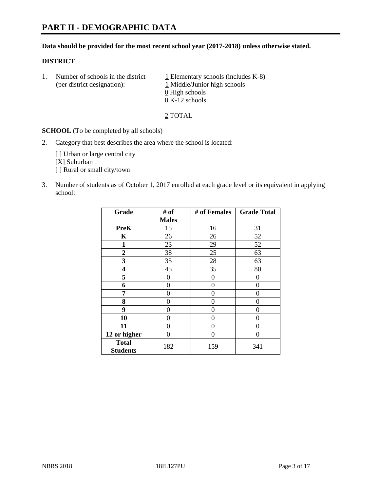#### **Data should be provided for the most recent school year (2017-2018) unless otherwise stated.**

#### **DISTRICT**

1. Number of schools in the district  $1$  Elementary schools (includes K-8) (per district designation): 1 Middle/Junior high schools 0 High schools 0 K-12 schools

2 TOTAL

**SCHOOL** (To be completed by all schools)

2. Category that best describes the area where the school is located:

[] Urban or large central city [X] Suburban [] Rural or small city/town

3. Number of students as of October 1, 2017 enrolled at each grade level or its equivalent in applying school:

| Grade                           | # of         | # of Females | <b>Grade Total</b> |
|---------------------------------|--------------|--------------|--------------------|
|                                 | <b>Males</b> |              |                    |
| <b>PreK</b>                     | 15           | 16           | 31                 |
| K                               | 26           | 26           | 52                 |
| 1                               | 23           | 29           | 52                 |
| $\overline{2}$                  | 38           | 25           | 63                 |
| 3                               | 35           | 28           | 63                 |
| 4                               | 45           | 35           | 80                 |
| 5                               | 0            | 0            | 0                  |
| 6                               | 0            | 0            | 0                  |
| 7                               | 0            | 0            | 0                  |
| 8                               | 0            | 0            | 0                  |
| 9                               | 0            | 0            | 0                  |
| 10                              | 0            | 0            | 0                  |
| 11                              | 0            | 0            | 0                  |
| 12 or higher                    | 0            | 0            | 0                  |
| <b>Total</b><br><b>Students</b> | 182          | 159          | 341                |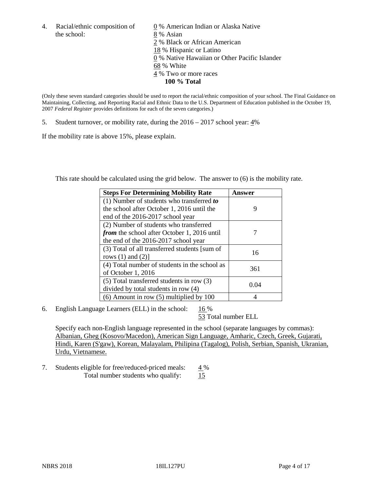the school: 8 % Asian

4. Racial/ethnic composition of  $\qquad \qquad \underline{0}$  % American Indian or Alaska Native 2 % Black or African American 18 % Hispanic or Latino 0 % Native Hawaiian or Other Pacific Islander 68 % White 4 % Two or more races **100 % Total**

(Only these seven standard categories should be used to report the racial/ethnic composition of your school. The Final Guidance on Maintaining, Collecting, and Reporting Racial and Ethnic Data to the U.S. Department of Education published in the October 19, 2007 *Federal Register* provides definitions for each of the seven categories.)

5. Student turnover, or mobility rate, during the 2016 – 2017 school year: 4%

If the mobility rate is above 15%, please explain.

This rate should be calculated using the grid below. The answer to (6) is the mobility rate.

| <b>Steps For Determining Mobility Rate</b>         | Answer |
|----------------------------------------------------|--------|
| (1) Number of students who transferred to          |        |
| the school after October 1, 2016 until the         | 9      |
| end of the 2016-2017 school year                   |        |
| (2) Number of students who transferred             |        |
| <i>from</i> the school after October 1, 2016 until |        |
| the end of the 2016-2017 school year               |        |
| (3) Total of all transferred students [sum of      |        |
| rows $(1)$ and $(2)$ ]                             | 16     |
| (4) Total number of students in the school as      |        |
| of October 1, 2016                                 | 361    |
| (5) Total transferred students in row (3)          |        |
| divided by total students in row (4)               | 0.04   |
| $(6)$ Amount in row $(5)$ multiplied by 100        |        |

6. English Language Learners (ELL) in the school:  $16\%$ 

53 Total number ELL

Specify each non-English language represented in the school (separate languages by commas): Albanian, Gheg (Kosovo/Macedon), American Sign Language, Amharic, Czech, Greek, Gujarati, Hindi, Karen (S'gaw), Korean, Malayalam, Philipina (Tagalog), Polish, Serbian, Spanish, Ukranian, Urdu, Vietnamese.

7. Students eligible for free/reduced-priced meals:  $4\%$ Total number students who qualify:  $\frac{15}{2}$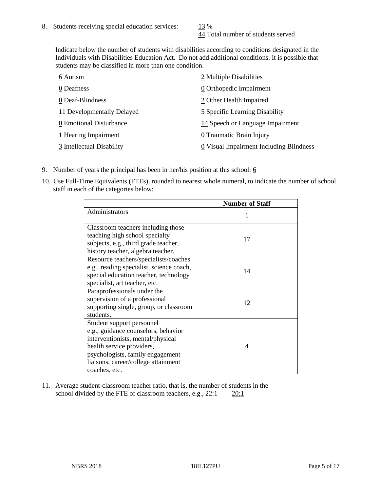44 Total number of students served

Indicate below the number of students with disabilities according to conditions designated in the Individuals with Disabilities Education Act. Do not add additional conditions. It is possible that students may be classified in more than one condition.

| 6 Autism                   | 2 Multiple Disabilities                 |
|----------------------------|-----------------------------------------|
| 0 Deafness                 | 0 Orthopedic Impairment                 |
| 0 Deaf-Blindness           | 2 Other Health Impaired                 |
| 11 Developmentally Delayed | 5 Specific Learning Disability          |
| 0 Emotional Disturbance    | 14 Speech or Language Impairment        |
| 1 Hearing Impairment       | 0 Traumatic Brain Injury                |
| 3 Intellectual Disability  | 0 Visual Impairment Including Blindness |

- 9. Number of years the principal has been in her/his position at this school:  $6$
- 10. Use Full-Time Equivalents (FTEs), rounded to nearest whole numeral, to indicate the number of school staff in each of the categories below:

|                                                                                                                                                                                                                                | <b>Number of Staff</b> |
|--------------------------------------------------------------------------------------------------------------------------------------------------------------------------------------------------------------------------------|------------------------|
| Administrators                                                                                                                                                                                                                 |                        |
| Classroom teachers including those<br>teaching high school specialty<br>subjects, e.g., third grade teacher,<br>history teacher, algebra teacher.                                                                              | 17                     |
| Resource teachers/specialists/coaches<br>e.g., reading specialist, science coach,<br>special education teacher, technology<br>specialist, art teacher, etc.                                                                    | 14                     |
| Paraprofessionals under the<br>supervision of a professional<br>supporting single, group, or classroom<br>students.                                                                                                            | 12                     |
| Student support personnel<br>e.g., guidance counselors, behavior<br>interventionists, mental/physical<br>health service providers,<br>psychologists, family engagement<br>liaisons, career/college attainment<br>coaches, etc. | 4                      |

11. Average student-classroom teacher ratio, that is, the number of students in the school divided by the FTE of classroom teachers, e.g.,  $22:1$  20:1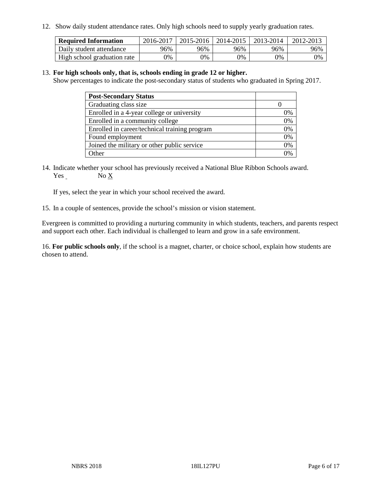12. Show daily student attendance rates. Only high schools need to supply yearly graduation rates.

| <b>Required Information</b> | 2016-2017 | $2015 - 2016$ | 2014-2015 | 2013-2014 | 2012-2013 |
|-----------------------------|-----------|---------------|-----------|-----------|-----------|
| Daily student attendance    | 96%       | 96%           | 96%       | 96%       | 96%       |
| High school graduation rate | 0%        | 0%            | 0%        | 9%        | 0%        |

#### 13. **For high schools only, that is, schools ending in grade 12 or higher.**

Show percentages to indicate the post-secondary status of students who graduated in Spring 2017.

| <b>Post-Secondary Status</b>                  |              |
|-----------------------------------------------|--------------|
| Graduating class size                         |              |
| Enrolled in a 4-year college or university    | 0%           |
| Enrolled in a community college               | 0%           |
| Enrolled in career/technical training program | 0%           |
| Found employment                              | 0%           |
| Joined the military or other public service   | 0%           |
| Other                                         | $\gamma_{0}$ |

14. Indicate whether your school has previously received a National Blue Ribbon Schools award. Yes No X

If yes, select the year in which your school received the award.

15. In a couple of sentences, provide the school's mission or vision statement.

Evergreen is committed to providing a nurturing community in which students, teachers, and parents respect and support each other. Each individual is challenged to learn and grow in a safe environment.

16. **For public schools only**, if the school is a magnet, charter, or choice school, explain how students are chosen to attend.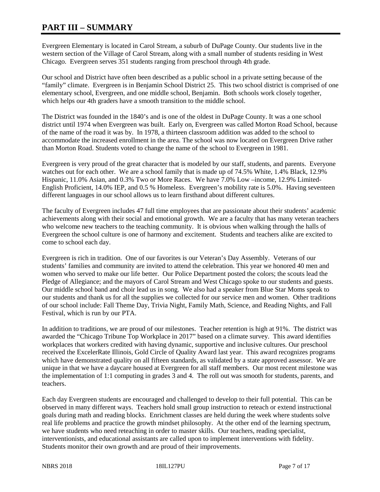# **PART III – SUMMARY**

Evergreen Elementary is located in Carol Stream, a suburb of DuPage County. Our students live in the western section of the Village of Carol Stream, along with a small number of students residing in West Chicago. Evergreen serves 351 students ranging from preschool through 4th grade.

Our school and District have often been described as a public school in a private setting because of the "family" climate. Evergreen is in Benjamin School District 25. This two school district is comprised of one elementary school, Evergreen, and one middle school, Benjamin. Both schools work closely together, which helps our 4th graders have a smooth transition to the middle school.

The District was founded in the 1840's and is one of the oldest in DuPage County. It was a one school district until 1974 when Evergreen was built. Early on, Evergreen was called Morton Road School, because of the name of the road it was by. In 1978, a thirteen classroom addition was added to the school to accommodate the increased enrollment in the area. The school was now located on Evergreen Drive rather than Morton Road. Students voted to change the name of the school to Evergreen in 1981.

Evergreen is very proud of the great character that is modeled by our staff, students, and parents. Everyone watches out for each other. We are a school family that is made up of 74.5% White, 1.4% Black, 12.9% Hispanic, 11.0% Asian, and 0.3% Two or More Races. We have 7.0% Low –income, 12.9% Limited-English Proficient, 14.0% IEP, and 0.5 % Homeless. Evergreen's mobility rate is 5.0%. Having seventeen different languages in our school allows us to learn firsthand about different cultures.

The faculty of Evergreen includes 47 full time employees that are passionate about their students' academic achievements along with their social and emotional growth. We are a faculty that has many veteran teachers who welcome new teachers to the teaching community. It is obvious when walking through the halls of Evergreen the school culture is one of harmony and excitement. Students and teachers alike are excited to come to school each day.

Evergreen is rich in tradition. One of our favorites is our Veteran's Day Assembly. Veterans of our students' families and community are invited to attend the celebration. This year we honored 40 men and women who served to make our life better. Our Police Department posted the colors; the scouts lead the Pledge of Allegiance; and the mayors of Carol Stream and West Chicago spoke to our students and guests. Our middle school band and choir lead us in song. We also had a speaker from Blue Star Moms speak to our students and thank us for all the supplies we collected for our service men and women. Other traditions of our school include: Fall Theme Day, Trivia Night, Family Math, Science, and Reading Nights, and Fall Festival, which is run by our PTA.

In addition to traditions, we are proud of our milestones. Teacher retention is high at 91%. The district was awarded the "Chicago Tribune Top Workplace in 2017" based on a climate survey. This award identifies workplaces that workers credited with having dynamic, supportive and inclusive cultures. Our preschool received the ExcelerRate Illinois, Gold Circle of Quality Award last year. This award recognizes programs which have demonstrated quality on all fifteen standards, as validated by a state approved assessor. We are unique in that we have a daycare housed at Evergreen for all staff members. Our most recent milestone was the implementation of 1:1 computing in grades 3 and 4. The roll out was smooth for students, parents, and teachers.

Each day Evergreen students are encouraged and challenged to develop to their full potential. This can be observed in many different ways. Teachers hold small group instruction to reteach or extend instructional goals during math and reading blocks. Enrichment classes are held during the week where students solve real life problems and practice the growth mindset philosophy. At the other end of the learning spectrum, we have students who need reteaching in order to master skills. Our teachers, reading specialist, interventionists, and educational assistants are called upon to implement interventions with fidelity. Students monitor their own growth and are proud of their improvements.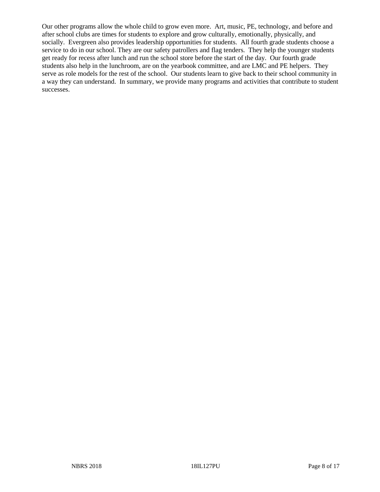Our other programs allow the whole child to grow even more. Art, music, PE, technology, and before and after school clubs are times for students to explore and grow culturally, emotionally, physically, and socially. Evergreen also provides leadership opportunities for students. All fourth grade students choose a service to do in our school. They are our safety patrollers and flag tenders. They help the younger students get ready for recess after lunch and run the school store before the start of the day. Our fourth grade students also help in the lunchroom, are on the yearbook committee, and are LMC and PE helpers. They serve as role models for the rest of the school. Our students learn to give back to their school community in a way they can understand. In summary, we provide many programs and activities that contribute to student successes.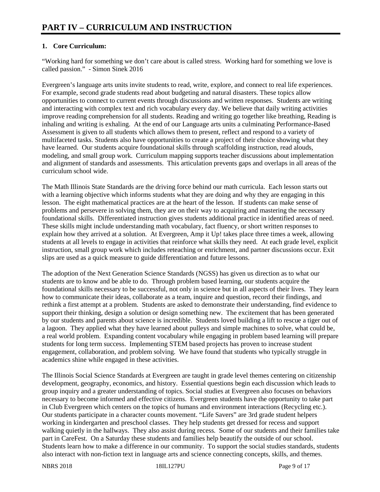## **1. Core Curriculum:**

"Working hard for something we don't care about is called stress. Working hard for something we love is called passion." - Simon Sinek 2016

Evergreen's language arts units invite students to read, write, explore, and connect to real life experiences. For example, second grade students read about budgeting and natural disasters. These topics allow opportunities to connect to current events through discussions and written responses. Students are writing and interacting with complex text and rich vocabulary every day. We believe that daily writing activities improve reading comprehension for all students. Reading and writing go together like breathing, Reading is inhaling and writing is exhaling. At the end of our Language arts units a culminating Performance-Based Assessment is given to all students which allows them to present, reflect and respond to a variety of multifaceted tasks. Students also have opportunities to create a project of their choice showing what they have learned. Our students acquire foundational skills through scaffolding instruction, read alouds, modeling, and small group work. Curriculum mapping supports teacher discussions about implementation and alignment of standards and assessments. This articulation prevents gaps and overlaps in all areas of the curriculum school wide.

The Math Illinois State Standards are the driving force behind our math curricula. Each lesson starts out with a learning objective which informs students what they are doing and why they are engaging in this lesson. The eight mathematical practices are at the heart of the lesson. If students can make sense of problems and persevere in solving them, they are on their way to acquiring and mastering the necessary foundational skills. Differentiated instruction gives students additional practice in identified areas of need. These skills might include understanding math vocabulary, fact fluency, or short written responses to explain how they arrived at a solution. At Evergreen, Amp it Up! takes place three times a week, allowing students at all levels to engage in activities that reinforce what skills they need. At each grade level, explicit instruction, small group work which includes reteaching or enrichment, and partner discussions occur. Exit slips are used as a quick measure to guide differentiation and future lessons.

The adoption of the Next Generation Science Standards (NGSS) has given us direction as to what our students are to know and be able to do. Through problem based learning, our students acquire the foundational skills necessary to be successful, not only in science but in all aspects of their lives. They learn how to communicate their ideas, collaborate as a team, inquire and question, record their findings, and rethink a first attempt at a problem. Students are asked to demonstrate their understanding, find evidence to support their thinking, design a solution or design something new. The excitement that has been generated by our students and parents about science is incredible. Students loved building a lift to rescue a tiger out of a lagoon. They applied what they have learned about pulleys and simple machines to solve, what could be, a real world problem. Expanding content vocabulary while engaging in problem based learning will prepare students for long term success. Implementing STEM based projects has proven to increase student engagement, collaboration, and problem solving. We have found that students who typically struggle in academics shine while engaged in these activities.

The Illinois Social Science Standards at Evergreen are taught in grade level themes centering on citizenship development, geography, economics, and history. Essential questions begin each discussion which leads to group inquiry and a greater understanding of topics. Social studies at Evergreen also focuses on behaviors necessary to become informed and effective citizens. Evergreen students have the opportunity to take part in Club Evergreen which centers on the topics of humans and environment interactions (Recycling etc.). Our students participate in a character counts movement. "Life Savers" are 3rd grade student helpers working in kindergarten and preschool classes. They help students get dressed for recess and support walking quietly in the hallways. They also assist during recess. Some of our students and their families take part in CareFest. On a Saturday these students and families help beautify the outside of our school. Students learn how to make a difference in our community. To support the social studies standards, students also interact with non-fiction text in language arts and science connecting concepts, skills, and themes.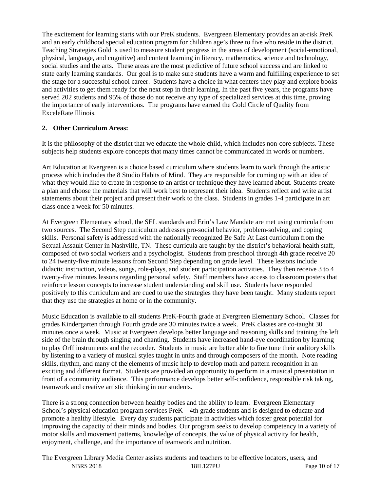The excitement for learning starts with our PreK students. Evergreen Elementary provides an at-risk PreK and an early childhood special education program for children age's three to five who reside in the district. Teaching Strategies Gold is used to measure student progress in the areas of development (social-emotional, physical, language, and cognitive) and content learning in literacy, mathematics, science and technology, social studies and the arts. These areas are the most predictive of future school success and are linked to state early learning standards. Our goal is to make sure students have a warm and fulfilling experience to set the stage for a successful school career. Students have a choice in what centers they play and explore books and activities to get them ready for the next step in their learning. In the past five years, the programs have served 202 students and 95% of those do not receive any type of specialized services at this time, proving the importance of early interventions. The programs have earned the Gold Circle of Quality from ExceleRate Illinois.

## **2. Other Curriculum Areas:**

It is the philosophy of the district that we educate the whole child, which includes non-core subjects. These subjects help students explore concepts that many times cannot be communicated in words or numbers.

Art Education at Evergreen is a choice based curriculum where students learn to work through the artistic process which includes the 8 Studio Habits of Mind. They are responsible for coming up with an idea of what they would like to create in response to an artist or technique they have learned about. Students create a plan and choose the materials that will work best to represent their idea. Students reflect and write artist statements about their project and present their work to the class. Students in grades 1-4 participate in art class once a week for 50 minutes.

At Evergreen Elementary school, the SEL standards and Erin's Law Mandate are met using curricula from two sources. The Second Step curriculum addresses pro-social behavior, problem-solving, and coping skills. Personal safety is addressed with the nationally recognized Be Safe At Last curriculum from the Sexual Assault Center in Nashville, TN. These curricula are taught by the district's behavioral health staff, composed of two social workers and a psychologist. Students from preschool through 4th grade receive 20 to 24 twenty-five minute lessons from Second Step depending on grade level. These lessons include didactic instruction, videos, songs, role-plays, and student participation activities. They then receive 3 to 4 twenty-five minutes lessons regarding personal safety. Staff members have access to classroom posters that reinforce lesson concepts to increase student understanding and skill use. Students have responded positively to this curriculum and are cued to use the strategies they have been taught. Many students report that they use the strategies at home or in the community.

Music Education is available to all students PreK-Fourth grade at Evergreen Elementary School. Classes for grades Kindergarten through Fourth grade are 30 minutes twice a week. PreK classes are co-taught 30 minutes once a week. Music at Evergreen develops better language and reasoning skills and training the left side of the brain through singing and chanting. Students have increased hand-eye coordination by learning to play Orff instruments and the recorder. Students in music are better able to fine tune their auditory skills by listening to a variety of musical styles taught in units and through composers of the month. Note reading skills, rhythm, and many of the elements of music help to develop math and pattern recognition in an exciting and different format. Students are provided an opportunity to perform in a musical presentation in front of a community audience. This performance develops better self-confidence, responsible risk taking, teamwork and creative artistic thinking in our students.

There is a strong connection between healthy bodies and the ability to learn. Evergreen Elementary School's physical education program services PreK – 4th grade students and is designed to educate and promote a healthy lifestyle. Every day students participate in activities which foster great potential for improving the capacity of their minds and bodies. Our program seeks to develop competency in a variety of motor skills and movement patterns, knowledge of concepts, the value of physical activity for health, enjoyment, challenge, and the importance of teamwork and nutrition.

NBRS 2018 18IL127PU Page 10 of 17 The Evergreen Library Media Center assists students and teachers to be effective locators, users, and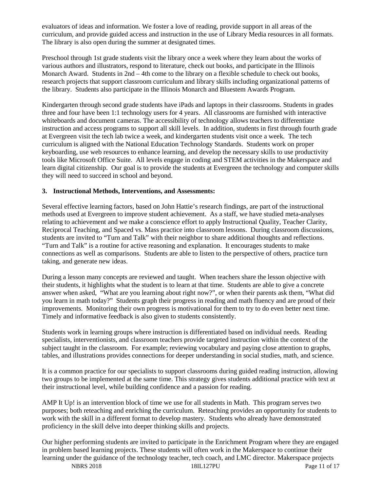evaluators of ideas and information. We foster a love of reading, provide support in all areas of the curriculum, and provide guided access and instruction in the use of Library Media resources in all formats. The library is also open during the summer at designated times.

Preschool through 1st grade students visit the library once a week where they learn about the works of various authors and illustrators, respond to literature, check out books, and participate in the Illinois Monarch Award. Students in 2nd – 4th come to the library on a flexible schedule to check out books, research projects that support classroom curriculum and library skills including organizational patterns of the library. Students also participate in the Illinois Monarch and Bluestem Awards Program.

Kindergarten through second grade students have iPads and laptops in their classrooms. Students in grades three and four have been 1:1 technology users for 4 years. All classrooms are furnished with interactive whiteboards and document cameras. The accessibility of technology allows teachers to differentiate instruction and access programs to support all skill levels. In addition, students in first through fourth grade at Evergreen visit the tech lab twice a week, and kindergarten students visit once a week. The tech curriculum is aligned with the National Education Technology Standards. Students work on proper keyboarding, use web resources to enhance learning, and develop the necessary skills to use productivity tools like Microsoft Office Suite. All levels engage in coding and STEM activities in the Makerspace and learn digital citizenship. Our goal is to provide the students at Evergreen the technology and computer skills they will need to succeed in school and beyond.

#### **3. Instructional Methods, Interventions, and Assessments:**

Several effective learning factors, based on John Hattie's research findings, are part of the instructional methods used at Evergreen to improve student achievement. As a staff, we have studied meta-analyses relating to achievement and we make a conscience effort to apply Instructional Quality, Teacher Clarity, Reciprocal Teaching, and Spaced vs. Mass practice into classroom lessons. During classroom discussions, students are invited to "Turn and Talk" with their neighbor to share additional thoughts and reflections. "Turn and Talk" is a routine for active reasoning and explanation. It encourages students to make connections as well as comparisons. Students are able to listen to the perspective of others, practice turn taking, and generate new ideas.

During a lesson many concepts are reviewed and taught. When teachers share the lesson objective with their students, it highlights what the student is to learn at that time. Students are able to give a concrete answer when asked, "What are you learning about right now?", or when their parents ask them, "What did you learn in math today?" Students graph their progress in reading and math fluency and are proud of their improvements. Monitoring their own progress is motivational for them to try to do even better next time. Timely and informative feedback is also given to students consistently.

Students work in learning groups where instruction is differentiated based on individual needs. Reading specialists, interventionists, and classroom teachers provide targeted instruction within the context of the subject taught in the classroom. For example; reviewing vocabulary and paying close attention to graphs, tables, and illustrations provides connections for deeper understanding in social studies, math, and science.

It is a common practice for our specialists to support classrooms during guided reading instruction, allowing two groups to be implemented at the same time. This strategy gives students additional practice with text at their instructional level, while building confidence and a passion for reading.

AMP It Up! is an intervention block of time we use for all students in Math. This program serves two purposes; both reteaching and enriching the curriculum. Reteaching provides an opportunity for students to work with the skill in a different format to develop mastery. Students who already have demonstrated proficiency in the skill delve into deeper thinking skills and projects.

Our higher performing students are invited to participate in the Enrichment Program where they are engaged in problem based learning projects. These students will often work in the Makerspace to continue their learning under the guidance of the technology teacher, tech coach, and LMC director. Makerspace projects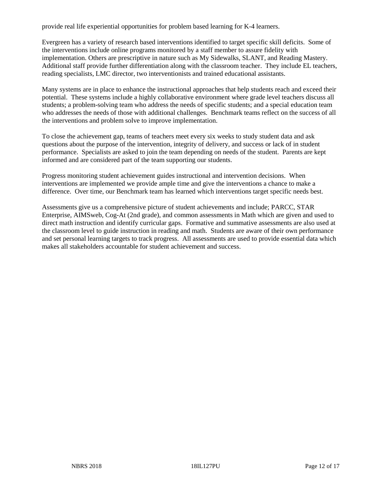provide real life experiential opportunities for problem based learning for K-4 learners.

Evergreen has a variety of research based interventions identified to target specific skill deficits. Some of the interventions include online programs monitored by a staff member to assure fidelity with implementation. Others are prescriptive in nature such as My Sidewalks, SLANT, and Reading Mastery. Additional staff provide further differentiation along with the classroom teacher. They include EL teachers, reading specialists, LMC director, two interventionists and trained educational assistants.

Many systems are in place to enhance the instructional approaches that help students reach and exceed their potential. These systems include a highly collaborative environment where grade level teachers discuss all students; a problem-solving team who address the needs of specific students; and a special education team who addresses the needs of those with additional challenges. Benchmark teams reflect on the success of all the interventions and problem solve to improve implementation.

To close the achievement gap, teams of teachers meet every six weeks to study student data and ask questions about the purpose of the intervention, integrity of delivery, and success or lack of in student performance. Specialists are asked to join the team depending on needs of the student. Parents are kept informed and are considered part of the team supporting our students.

Progress monitoring student achievement guides instructional and intervention decisions. When interventions are implemented we provide ample time and give the interventions a chance to make a difference. Over time, our Benchmark team has learned which interventions target specific needs best.

Assessments give us a comprehensive picture of student achievements and include; PARCC, STAR Enterprise, AIMSweb, Cog-At (2nd grade), and common assessments in Math which are given and used to direct math instruction and identify curricular gaps. Formative and summative assessments are also used at the classroom level to guide instruction in reading and math. Students are aware of their own performance and set personal learning targets to track progress. All assessments are used to provide essential data which makes all stakeholders accountable for student achievement and success.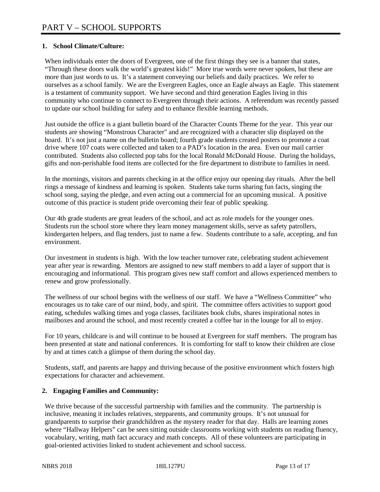## **1. School Climate/Culture:**

When individuals enter the doors of Evergreen, one of the first things they see is a banner that states, "Through these doors walk the world's greatest kids!" More true words were never spoken, but these are more than just words to us. It's a statement conveying our beliefs and daily practices. We refer to ourselves as a school family. We are the Evergreen Eagles, once an Eagle always an Eagle. This statement is a testament of community support. We have second and third generation Eagles living in this community who continue to connect to Evergreen through their actions. A referendum was recently passed to update our school building for safety and to enhance flexible learning methods.

Just outside the office is a giant bulletin board of the Character Counts Theme for the year. This year our students are showing "Monstrous Character" and are recognized with a character slip displayed on the board. It's not just a name on the bulletin board; fourth grade students created posters to promote a coat drive where 107 coats were collected and taken to a PAD's location in the area. Even our mail carrier contributed. Students also collected pop tabs for the local Ronald McDonald House. During the holidays, gifts and non-perishable food items are collected for the fire department to distribute to families in need.

In the mornings, visitors and parents checking in at the office enjoy our opening day rituals. After the bell rings a message of kindness and learning is spoken. Students take turns sharing fun facts, singing the school song, saying the pledge, and even acting out a commercial for an upcoming musical. A positive outcome of this practice is student pride overcoming their fear of public speaking.

Our 4th grade students are great leaders of the school, and act as role models for the younger ones. Students run the school store where they learn money management skills, serve as safety patrollers, kindergarten helpers, and flag tenders, just to name a few. Students contribute to a safe, accepting, and fun environment.

Our investment in students is high. With the low teacher turnover rate, celebrating student achievement year after year is rewarding. Mentors are assigned to new staff members to add a layer of support that is encouraging and informational. This program gives new staff comfort and allows experienced members to renew and grow professionally.

The wellness of our school begins with the wellness of our staff. We have a "Wellness Committee" who encourages us to take care of our mind, body, and spirit. The committee offers activities to support good eating, schedules walking times and yoga classes, facilitates book clubs, shares inspirational notes in mailboxes and around the school, and most recently created a coffee bar in the lounge for all to enjoy.

For 10 years, childcare is and will continue to be housed at Evergreen for staff members. The program has been presented at state and national conferences. It is comforting for staff to know their children are close by and at times catch a glimpse of them during the school day.

Students, staff, and parents are happy and thriving because of the positive environment which fosters high expectations for character and achievement.

## **2. Engaging Families and Community:**

We thrive because of the successful partnership with families and the community. The partnership is inclusive, meaning it includes relatives, stepparents, and community groups. It's not unusual for grandparents to surprise their grandchildren as the mystery reader for that day. Halls are learning zones where "Hallway Helpers" can be seen sitting outside classrooms working with students on reading fluency, vocabulary, writing, math fact accuracy and math concepts. All of these volunteers are participating in goal-oriented activities linked to student achievement and school success.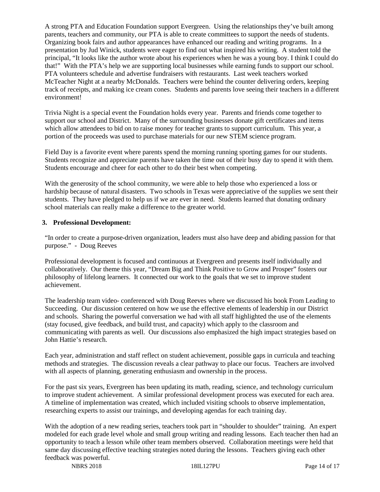A strong PTA and Education Foundation support Evergreen. Using the relationships they've built among parents, teachers and community, our PTA is able to create committees to support the needs of students. Organizing book fairs and author appearances have enhanced our reading and writing programs. In a presentation by Jud Winick, students were eager to find out what inspired his writing. A student told the principal, "It looks like the author wrote about his experiences when he was a young boy. I think I could do that!" With the PTA's help we are supporting local businesses while earning funds to support our school. PTA volunteers schedule and advertise fundraisers with restaurants. Last week teachers worked McTeacher Night at a nearby McDonalds. Teachers were behind the counter delivering orders, keeping track of receipts, and making ice cream cones. Students and parents love seeing their teachers in a different environment!

Trivia Night is a special event the Foundation holds every year. Parents and friends come together to support our school and District. Many of the surrounding businesses donate gift certificates and items which allow attendees to bid on to raise money for teacher grants to support curriculum. This year, a portion of the proceeds was used to purchase materials for our new STEM science program.

Field Day is a favorite event where parents spend the morning running sporting games for our students. Students recognize and appreciate parents have taken the time out of their busy day to spend it with them. Students encourage and cheer for each other to do their best when competing.

With the generosity of the school community, we were able to help those who experienced a loss or hardship because of natural disasters. Two schools in Texas were appreciative of the supplies we sent their students. They have pledged to help us if we are ever in need. Students learned that donating ordinary school materials can really make a difference to the greater world.

#### **3. Professional Development:**

"In order to create a purpose-driven organization, leaders must also have deep and abiding passion for that purpose." - Doug Reeves

Professional development is focused and continuous at Evergreen and presents itself individually and collaboratively. Our theme this year, "Dream Big and Think Positive to Grow and Prosper" fosters our philosophy of lifelong learners. It connected our work to the goals that we set to improve student achievement.

The leadership team video- conferenced with Doug Reeves where we discussed his book From Leading to Succeeding. Our discussion centered on how we use the effective elements of leadership in our District and schools. Sharing the powerful conversation we had with all staff highlighted the use of the elements (stay focused, give feedback, and build trust, and capacity) which apply to the classroom and communicating with parents as well. Our discussions also emphasized the high impact strategies based on John Hattie's research.

Each year, administration and staff reflect on student achievement, possible gaps in curricula and teaching methods and strategies. The discussion reveals a clear pathway to place our focus. Teachers are involved with all aspects of planning, generating enthusiasm and ownership in the process.

For the past six years, Evergreen has been updating its math, reading, science, and technology curriculum to improve student achievement. A similar professional development process was executed for each area. A timeline of implementation was created, which included visiting schools to observe implementation, researching experts to assist our trainings, and developing agendas for each training day.

With the adoption of a new reading series, teachers took part in "shoulder to shoulder" training. An expert modeled for each grade level whole and small group writing and reading lessons. Each teacher then had an opportunity to teach a lesson while other team members observed. Collaboration meetings were held that same day discussing effective teaching strategies noted during the lessons. Teachers giving each other feedback was powerful.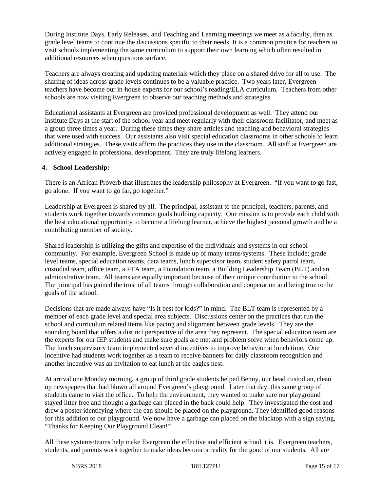During Institute Days, Early Releases, and Teaching and Learning meetings we meet as a faculty, then as grade level teams to continue the discussions specific to their needs. It is a common practice for teachers to visit schools implementing the same curriculum to support their own learning which often resulted in additional resources when questions surface.

Teachers are always creating and updating materials which they place on a shared drive for all to use. The sharing of ideas across grade levels continues to be a valuable practice. Two years later, Evergreen teachers have become our in-house experts for our school's reading/ELA curriculum. Teachers from other schools are now visiting Evergreen to observe our teaching methods and strategies.

Educational assistants at Evergreen are provided professional development as well. They attend our Institute Days at the start of the school year and meet regularly with their classroom facilitator, and meet as a group three times a year. During these times they share articles and teaching and behavioral strategies that were used with success. Our assistants also visit special education classrooms in other schools to learn additional strategies. These visits affirm the practices they use in the classroom. All staff at Evergreen are actively engaged in professional development. They are truly lifelong learners.

#### **4. School Leadership:**

There is an African Proverb that illustrates the leadership philosophy at Evergreen. "If you want to go fast, go alone. If you want to go far, go together."

Leadership at Evergreen is shared by all. The principal, assistant to the principal, teachers, parents, and students work together towards common goals building capacity. Our mission is to provide each child with the best educational opportunity to become a lifelong learner, achieve the highest personal growth and be a contributing member of society.

Shared leadership is utilizing the gifts and expertise of the individuals and systems in our school community. For example, Evergreen School is made up of many teams/systems. These include; grade level teams, special education teams, data teams, lunch supervisor team, student safety patrol team, custodial team, office team, a PTA team, a Foundation team, a Building Leadership Team (BLT) and an administrative team. All teams are equally important because of their unique contribution to the school. The principal has gained the trust of all teams through collaboration and cooperation and being true to the goals of the school.

Decisions that are made always have "Is it best for kids?" in mind. The BLT team is represented by a member of each grade level and special area subjects. Discussions center on the practices that run the school and curriculum related items like pacing and alignment between grade levels. They are the sounding board that offers a distinct perspective of the area they represent. The special education team are the experts for our IEP students and make sure goals are met and problem solve when behaviors come up. The lunch supervisory team implemented several incentives to improve behavior at lunch time. One incentive had students work together as a team to receive banners for daily classroom recognition and another incentive was an invitation to eat lunch at the eagles nest.

At arrival one Monday morning, a group of third grade students helped Benny, our head custodian, clean up newspapers that had blown all around Evergreen's playground. Later that day, this same group of students came to visit the office. To help the environment, they wanted to make sure our playground stayed litter free and thought a garbage can placed in the back could help. They investigated the cost and drew a poster identifying where the can should be placed on the playground. They identified good reasons for this addition to our playground. We now have a garbage can placed on the blacktop with a sign saying, "Thanks for Keeping Our Playground Clean!"

All these systems/teams help make Evergreen the effective and efficient school it is. Evergreen teachers, students, and parents work together to make ideas become a reality for the good of our students. All are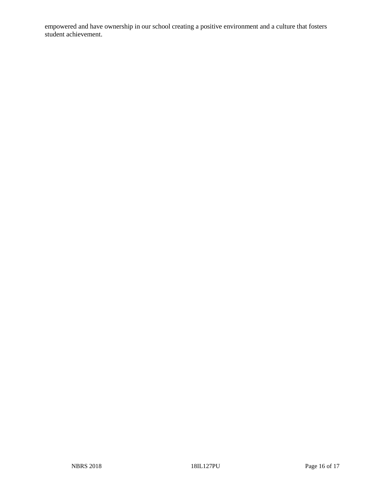empowered and have ownership in our school creating a positive environment and a culture that fosters student achievement.